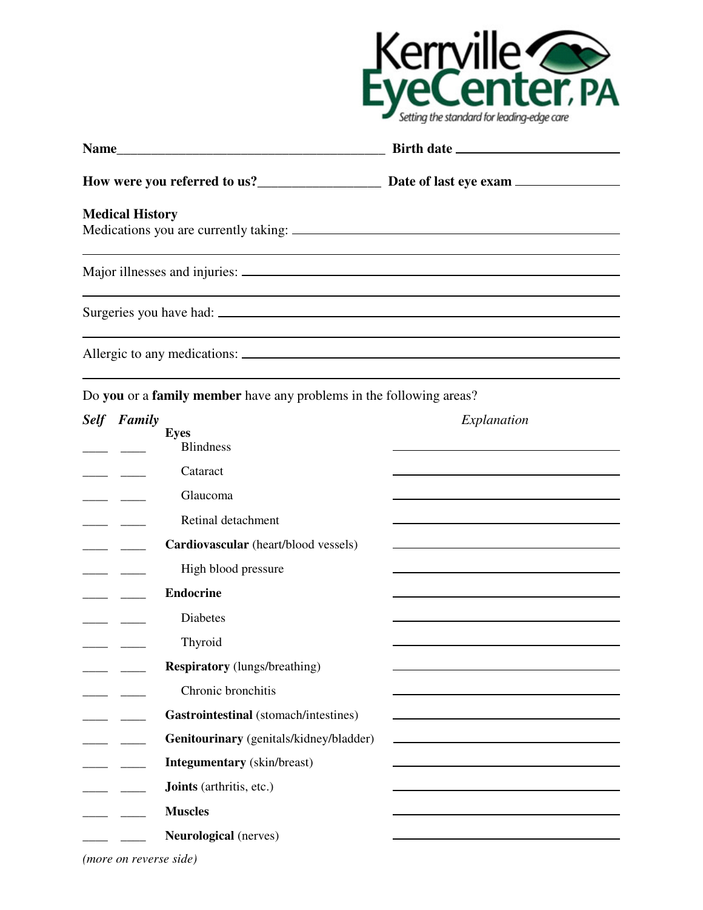

| <b>Medical History</b> |  |  |  |  |
|------------------------|--|--|--|--|
|                        |  |  |  |  |
|                        |  |  |  |  |
|                        |  |  |  |  |
|                        |  |  |  |  |

Do **you** or a **family member** have any problems in the following areas?

| <b>Self</b> | Family |                                         | Explanation                                       |
|-------------|--------|-----------------------------------------|---------------------------------------------------|
|             |        | <b>Eyes</b><br><b>Blindness</b>         |                                                   |
|             |        | Cataract                                |                                                   |
|             |        | Glaucoma                                |                                                   |
|             |        | Retinal detachment                      |                                                   |
|             |        | Cardiovascular (heart/blood vessels)    |                                                   |
|             |        | High blood pressure                     |                                                   |
|             |        | <b>Endocrine</b>                        |                                                   |
|             |        | <b>Diabetes</b>                         |                                                   |
|             |        | Thyroid                                 |                                                   |
|             |        | <b>Respiratory</b> (lungs/breathing)    |                                                   |
|             |        | Chronic bronchitis                      |                                                   |
|             |        | Gastrointestinal (stomach/intestines)   |                                                   |
|             |        | Genitourinary (genitals/kidney/bladder) | <u> 1980 - Johann Barbara, martxa alemaniar a</u> |
|             |        | <b>Integumentary</b> (skin/breast)      |                                                   |
|             |        | Joints (arthritis, etc.)                |                                                   |
|             |        | <b>Muscles</b>                          |                                                   |
|             |        | <b>Neurological</b> (nerves)            |                                                   |

*(more on reverse side)*